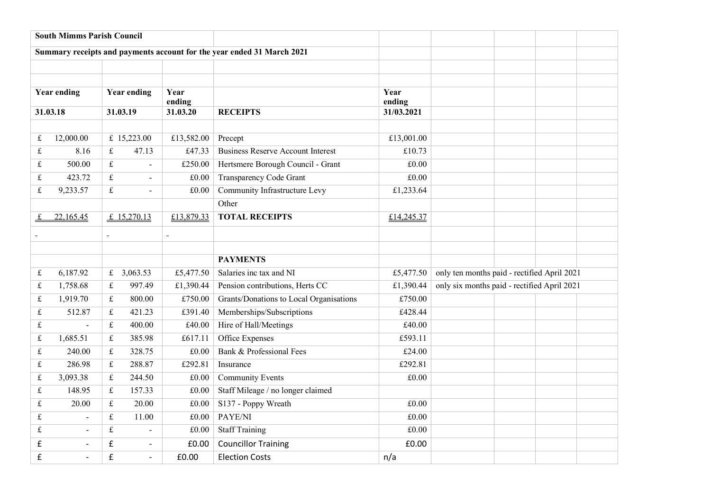|                    | <b>South Mimms Parish Council</b> |                                                                                                                                                     |                           |                |                                                                        |                |                                             |  |  |  |
|--------------------|-----------------------------------|-----------------------------------------------------------------------------------------------------------------------------------------------------|---------------------------|----------------|------------------------------------------------------------------------|----------------|---------------------------------------------|--|--|--|
|                    |                                   |                                                                                                                                                     |                           |                | Summary receipts and payments account for the year ended 31 March 2021 |                |                                             |  |  |  |
|                    |                                   |                                                                                                                                                     |                           |                |                                                                        |                |                                             |  |  |  |
|                    |                                   |                                                                                                                                                     |                           |                |                                                                        |                |                                             |  |  |  |
| <b>Year ending</b> |                                   | <b>Year ending</b>                                                                                                                                  |                           | Year<br>ending |                                                                        | Year<br>ending |                                             |  |  |  |
| 31.03.18           |                                   | 31.03.19                                                                                                                                            |                           | 31.03.20       | <b>RECEIPTS</b>                                                        | 31/03.2021     |                                             |  |  |  |
|                    |                                   |                                                                                                                                                     |                           |                |                                                                        |                |                                             |  |  |  |
| £                  | 12,000.00                         |                                                                                                                                                     | £ 15,223.00<br>£13,582.00 |                | Precept                                                                | £13,001.00     |                                             |  |  |  |
| $\pounds$          | 8.16                              | $\pounds$                                                                                                                                           | 47.13                     | £47.33         | <b>Business Reserve Account Interest</b>                               | £10.73         |                                             |  |  |  |
| £                  | 500.00                            | $\mathfrak{t}$                                                                                                                                      | $\overline{\phantom{a}}$  | £250.00        | Hertsmere Borough Council - Grant                                      | £0.00          |                                             |  |  |  |
| $\pounds$          | 423.72                            | $\pounds$<br>$\blacksquare$                                                                                                                         |                           | $\pounds0.00$  | Transparency Code Grant                                                | £0.00          |                                             |  |  |  |
| $\pounds$          | 9,233.57                          | $\mathbf f$<br>$\blacksquare$                                                                                                                       |                           | $\pounds0.00$  | Community Infrastructure Levy                                          | £1,233.64      |                                             |  |  |  |
|                    |                                   |                                                                                                                                                     |                           | Other          |                                                                        |                |                                             |  |  |  |
|                    | 22,165.45                         | £ $15,270.13$                                                                                                                                       |                           | £13,879.33     | <b>TOTAL RECEIPTS</b>                                                  | £14,245.37     |                                             |  |  |  |
|                    |                                   |                                                                                                                                                     |                           | à.             |                                                                        |                |                                             |  |  |  |
|                    |                                   |                                                                                                                                                     |                           |                |                                                                        |                |                                             |  |  |  |
|                    |                                   |                                                                                                                                                     |                           |                | <b>PAYMENTS</b>                                                        |                |                                             |  |  |  |
| $\pounds$          | 6,187.92                          |                                                                                                                                                     | £ 3,063.53                | £5,477.50      | Salaries inc tax and NI                                                | £5,477.50      | only ten months paid - rectified April 2021 |  |  |  |
| $\pounds$          | 1,758.68                          | $\pounds$                                                                                                                                           | 997.49                    | £1,390.44      | Pension contributions, Herts CC                                        | £1,390.44      | only six months paid - rectified April 2021 |  |  |  |
| $\pounds$          | 1,919.70                          | $\mathbf f$                                                                                                                                         | 800.00                    | £750.00        | Grants/Donations to Local Organisations                                | £750.00        |                                             |  |  |  |
| $\pounds$          | 512.87                            | $\mathfrak{t}$                                                                                                                                      | 421.23                    | £391.40        | Memberships/Subscriptions                                              | £428.44        |                                             |  |  |  |
| £                  |                                   | $\pounds$                                                                                                                                           | 400.00                    | £40.00         | Hire of Hall/Meetings                                                  | £40.00         |                                             |  |  |  |
| $\pounds$          | 1,685.51                          | $\mathfrak{L}% _{F}=\mathfrak{L}_{F,\mathbb{R}}\times\mathfrak{L}_{F,\mathbb{R}}\times\mathfrak{L}_{F,\mathbb{R}}\times\mathfrak{L}_{F,\mathbb{R}}$ | 385.98                    | £617.11        | Office Expenses                                                        | £593.11        |                                             |  |  |  |
| £                  | 240.00                            | £                                                                                                                                                   | 328.75                    | £0.00          | Bank & Professional Fees                                               | £24.00         |                                             |  |  |  |
| $\pounds$          | 286.98                            | $\pounds$                                                                                                                                           | 288.87                    | £292.81        | Insurance                                                              | £292.81        |                                             |  |  |  |
| $\pounds$          | 3,093.38                          | $\pounds$                                                                                                                                           | 244.50                    | £0.00          | <b>Community Events</b>                                                | £0.00          |                                             |  |  |  |
| $\pounds$          | 148.95                            | $\mathfrak{L}% _{F}=\mathfrak{L}_{F,\mathbb{R}}\times\mathfrak{L}_{F,\mathbb{R}}\times\mathfrak{L}_{F,\mathbb{R}}\times\mathfrak{L}_{F,\mathbb{R}}$ | 157.33                    | $\pounds0.00$  | Staff Mileage / no longer claimed                                      |                |                                             |  |  |  |
| $\pounds$          | 20.00                             | $\mathfrak{t}$                                                                                                                                      | 20.00                     | $\pounds0.00$  | S137 - Poppy Wreath                                                    | £0.00          |                                             |  |  |  |
| £                  | $\blacksquare$                    | $\mathfrak{t}$                                                                                                                                      | 11.00                     | £0.00          | PAYE/NI                                                                | £0.00          |                                             |  |  |  |
| £                  | $\overline{a}$                    | $\pounds$                                                                                                                                           | $\blacksquare$            | £0.00          | <b>Staff Training</b>                                                  | £0.00          |                                             |  |  |  |
| £                  | $\overline{\phantom{a}}$          | $\mathbf f$                                                                                                                                         | $\sim$                    | £0.00          | <b>Councillor Training</b>                                             | £0.00          |                                             |  |  |  |
| £                  |                                   | $\pmb{\mathsf{f}}$<br>£0.00<br><b>Election Costs</b><br>$\overline{a}$                                                                              |                           |                | n/a                                                                    |                |                                             |  |  |  |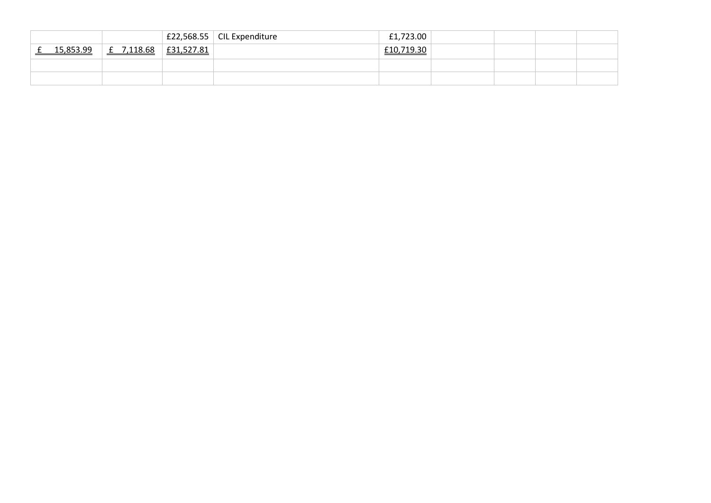|    |           |            |            | E22,568.55   CIL Expenditure | £1,723.00  |  |  |
|----|-----------|------------|------------|------------------------------|------------|--|--|
| -- | 15 853 99 | £ 7,118.68 | £31,527.81 |                              | £10,719.30 |  |  |
|    |           |            |            |                              |            |  |  |
|    |           |            |            |                              |            |  |  |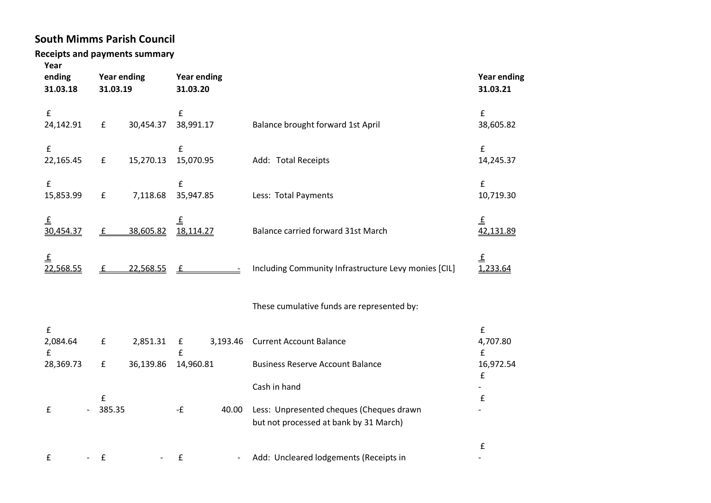## **South Mimms Parish Council**

## **Receipts and payments summary**

| Year<br>ending<br>31.03.18          | <b>Year ending</b><br>31.03.19 |           | <b>Year ending</b><br>31.03.20  |          |                                                                                    | <b>Year ending</b><br>31.03.21                       |  |
|-------------------------------------|--------------------------------|-----------|---------------------------------|----------|------------------------------------------------------------------------------------|------------------------------------------------------|--|
| $\pmb{\mathsf{f}}$<br>24,142.91     | $\pmb{\mathsf{f}}$             | 30,454.37 | $\pmb{\mathsf{f}}$<br>38,991.17 |          | Balance brought forward 1st April                                                  | $\pmb{\mathsf{f}}$<br>38,605.82                      |  |
| $\pmb{\mathsf{f}}$<br>22,165.45     | £                              | 15,270.13 | $\mathbf f$<br>15,070.95        |          | Add: Total Receipts                                                                | $\pmb{\mathsf{f}}$<br>14,245.37                      |  |
| $\pmb{\mathsf{f}}$<br>15,853.99     | $\pmb{\mathsf{f}}$             | 7,118.68  | £<br>35,947.85                  |          | Less: Total Payments                                                               | $\pmb{\mathsf{f}}$<br>10,719.30                      |  |
| ₹<br>30,454.37                      | £                              | 38,605.82 | ₹<br>18,114.27                  |          | Balance carried forward 31st March                                                 | £<br>42,131.89                                       |  |
| ₹<br>22,568.55                      | f                              | 22,568.55 | f                               |          | Including Community Infrastructure Levy monies [CIL]                               | Ŧ<br>1,233.64                                        |  |
|                                     |                                |           |                                 |          | These cumulative funds are represented by:                                         |                                                      |  |
| $\pmb{\mathsf{f}}$<br>2,084.64<br>£ | £                              | 2,851.31  | £<br>£                          | 3,193.46 | <b>Current Account Balance</b>                                                     | $\pmb{\mathsf{f}}$<br>4,707.80<br>$\pmb{\mathsf{f}}$ |  |
| 28,369.73                           | $\mathbf f$                    | 36,139.86 | 14,960.81                       |          | <b>Business Reserve Account Balance</b>                                            | 16,972.54<br>$\pmb{\mathsf{f}}$                      |  |
|                                     | $\pmb{\mathsf{f}}$             |           |                                 |          | Cash in hand                                                                       | $\pmb{\mathsf{f}}$                                   |  |
| £                                   | 385.35                         |           | -£                              | 40.00    | Less: Unpresented cheques (Cheques drawn<br>but not processed at bank by 31 March) |                                                      |  |
|                                     |                                |           |                                 |          |                                                                                    | £                                                    |  |

£ - £ - £ - Add: Uncleared lodgements (Receipts in

-